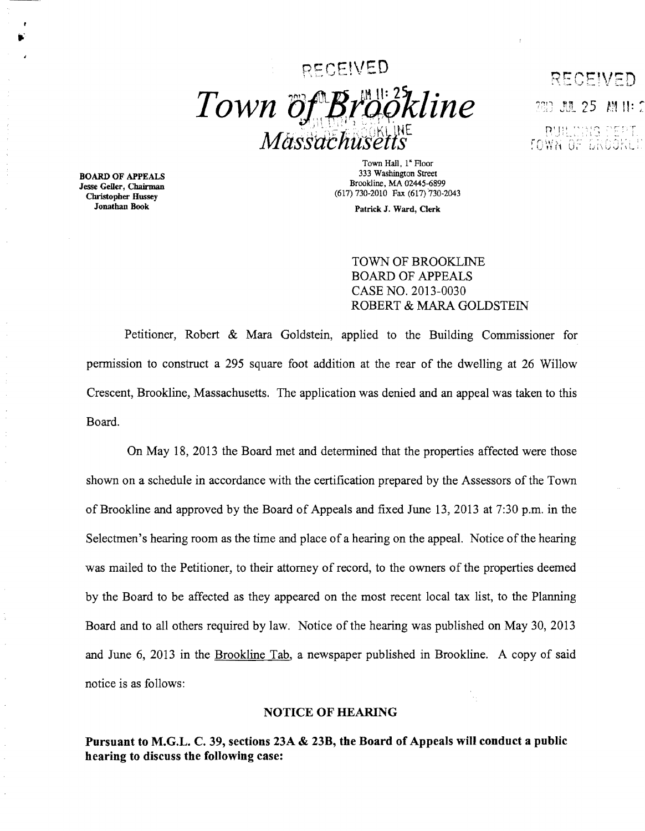# RECEIVED **Town of Brookline** 20 Jul. 25 MIL: Massachuse

BOARD OF APPEALS Jesse Geller, Chairman Christopber Hussey

••

Town HaIl, 1" Floor 333 Washington Street Brookline, MA 02445-6899 (617) 730-2010 Fax (617) 730-2043

Patrick J. Ward, Clerk

TOWN OF BROOKLINE BOARD OF APPEALS CASE NO. 2013-0030 ROBERT & MARA GOLDSTEIN RECEIVED.

Petitioner, Robert & Mara Goldstein, applied to the Building Commissioner for pennission to construct a 295 square foot addition at the rear of the dwelling at 26 Willow Crescent, Brookline, Massachusetts. The application was denied and an appeal was taken to this Board.

On May 18, 2013 the Board met and determined that the properties affected were those shown on a schedule in accordance with the certification prepared by the Assessors of the Town of Brookline and approved by the Board of Appeals and fixed June 13,2013 at 7:30 p.m. in the Selectmen's hearing room as the time and place of a hearing on the appeal. Notice of the hearing was mailed to the Petitioner, to their attorney of record, to the owners of the properties deemed by the Board to be affected as they appeared on the most recent local tax list, to the Planning Board and to all others required by law. Notice of the hearing was published on May 30,2013 and June 6, 2013 in the Brookline Tab, a newspaper published in Brookline. A copy of said notice is as follows:

## NOTICE OF HEARING

Pursuant to M.G.L. C. 39, sections 23A & 23B, the Board of Appeals will conduct a public hearing to discuss the following case: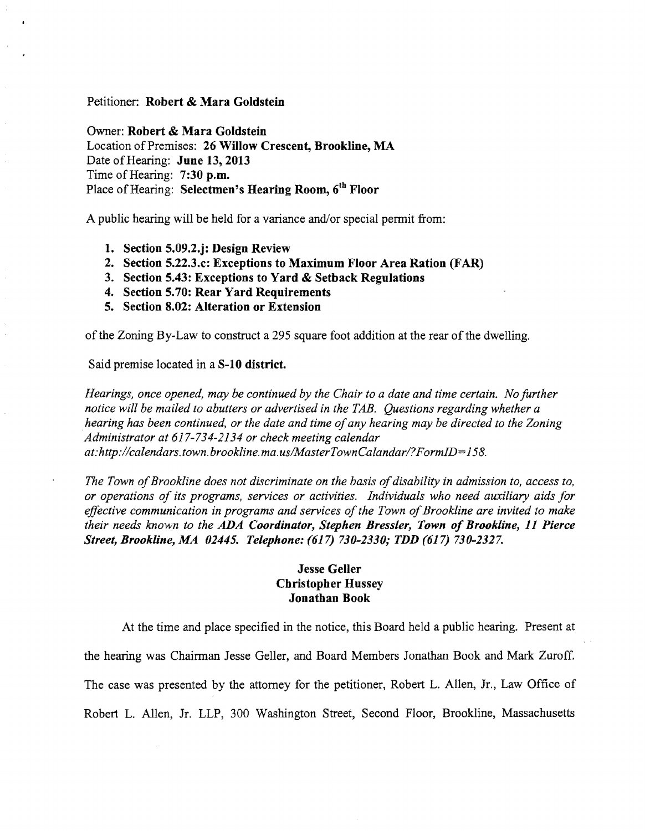### Petitioner: Robert & Mara Goldstein

Owner: Robert & Mara Goldstein Location of Premises: 26 Willow Crescent, Brookline, MA Date of Hearing: June 13, 2013 Time of Hearing: 7:30 p.m. Place of Hearing: Selectmen's Hearing Room, 6<sup>th</sup> Floor

A public hearing will be held for a variance and/or special permit from:

- 1. Section 5.09.2.j: Design Review
- 2. Section 5.22.3.c: Exceptions to Maximum Floor Area Ration (FAR)
- 3. Section 5.43: Exceptions to Yard & Setback Regulations
- 4. Section 5.70: Rear Yard Requirements
- 5. Section 8.02: Alteration or Extension

of the Zoning By-Law to construct a 295 square foot addition at the rear ofthe dwelling.

Said premise located in a S-10 district.

*Hearings, once opened, may be continued by the Chair to a date and time certain. No further notice will be mailed to abutters or advertised in the TAB. Questions regarding whether a hearing has been continued, or the date and time ofany hearing may be directed to the Zoning Administrator at* 617-734-2134 *or check meeting calendar at:http://calendars. town. brookline. ma.usIMasterTownCalandarl? F ormID= 158.* 

The Town of Brookline does not discriminate on the basis of disability in admission to, access to, *or operations of its programs, services or activities. Individuals who need auxiliary aids for*  effective communication in programs and services of the Town of Brookline are invited to make *their needs known to the ADA Coordinator, Stephen Bressler, Town of Brookline, 11 Pierce Street, Brookline, MA 02445. Telephone:* (617) *730-2330; TDD* (617) *730-2327.* 

# Jesse Geller Christopher Hussey Jonathan Book

At the time and place specified in the notice, this Board held a public hearing. Present at the hearing was Chairman Jesse Geller, and Board Members Jonathan Book and Mark Zuroff. The case was presented by the attorney for the petitioner, Robert L. Allen, Jr., Law Office of Robert L. Allen, Jr. LLP, 300 Washington Street, Second Floor, Brookline, Massachusetts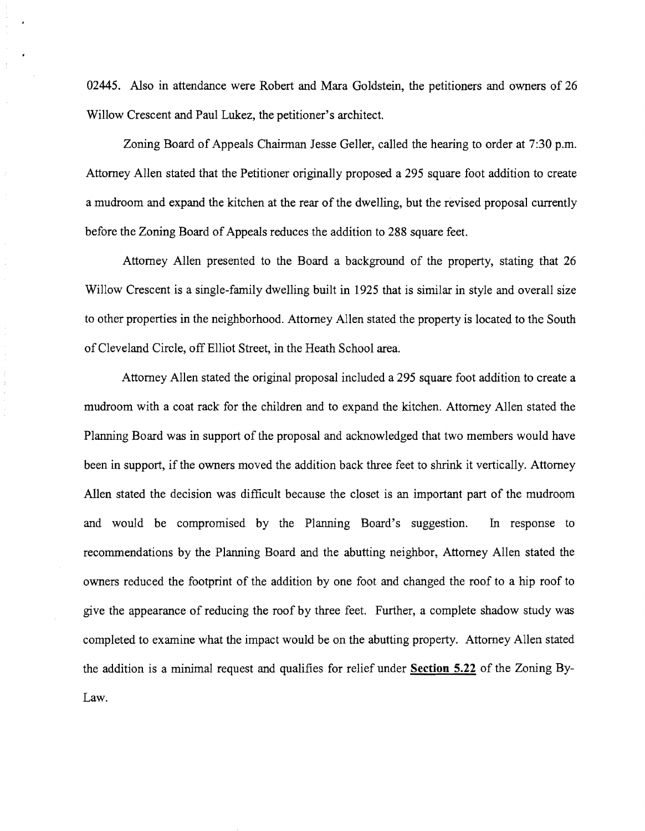02445. Also in attendance were Robert and Mara Goldstein, the petitioners and owners of 26 Willow Crescent and Paul Lukez, the petitioner's architect.

Zoning Board of Appeals Chairman Jesse Geller, called the hearing to order at 7:30 p.m. Attorney Allen stated that the Petitioner originally proposed a 295 square foot addition to create a mudroom and expand the kitchen at the rear of the dwelling, but the revised proposal currently before the Zoning Board of Appeals reduces the addition to 288 square feet.

 $\hat{\vec{r}}$ 

Attorney Allen presented to the Board a background of the property, stating that 26 Willow Crescent is a single-family dwelling built in 1925 that is similar in style and overall size to other properties in the neighborhood. Attorney Allen stated the property is located to the South ofCleveland Circle, off Elliot Street, in the Heath School area.

Attorney Allen stated the original proposal included a 295 square foot addition to create a mudroom with a coat rack for the children and to expand the kitchen. Attorney Allen stated the Planning Board was in support of the proposal and acknowledged that two members would have been in support, if the owners moved the addition back three feet to shrink it vertically. Attorney Allen stated the decision was difficult because the closet is an important part of the mudroom and would be compromised by the Planning Board's suggestion. In response to recommendations by the Planning Board and the abutting neighbor, Attorney Allen stated the owners reduced the footprint of the addition by one foot and changed the roof to a hip roof to give the appearance of reducing the roof by three feet. Further, a complete shadow study was completed to examine what the impact would be on the abutting property. Attorney Allen stated the addition is a minimal request and qualifies for relief under **Section 5.22** of the Zoning By-Law.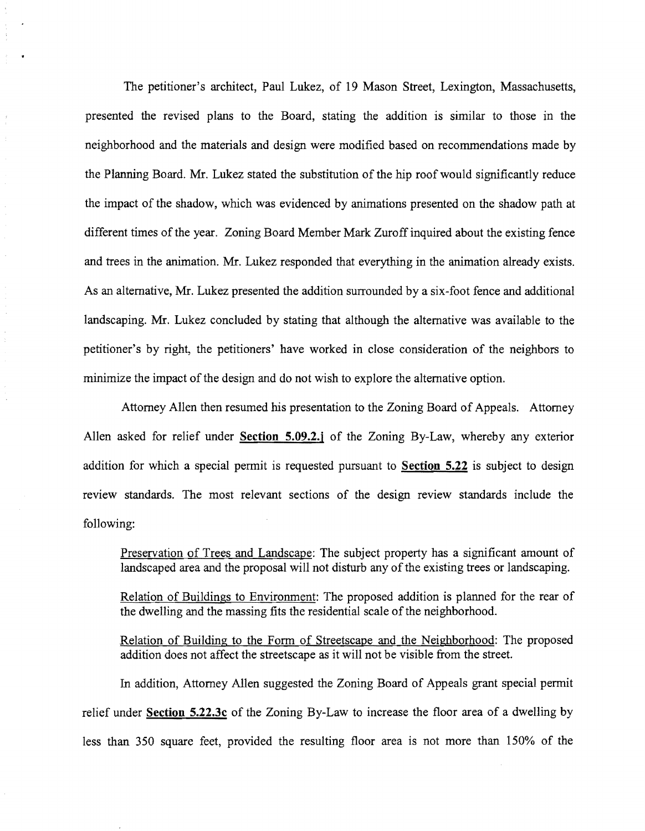The petitioner's architect, Paul Lukez, of 19 Mason Street, Lexington, Massachusetts, presented the revised plans to the Board, stating the addition is similar to those in the neighborhood and the materials and design were modified based on recommendations made by the Planning Board. Mr. Lukez stated the substitution of the hip roof would significantly reduce the impact of the shadow, which was evidenced by animations presented on the shadow path at different times of the year. Zoning Board Member Mark Zuroff inquired about the existing fence and trees in the animation. Mr. Lukez responded that everything in the animation already exists. As an alternative, Mr. Lukez presented the addition surrounded by a six-foot fence and additional landscaping. Mr. Lukez concluded by stating that although the alternative was available to the petitioner's by right, the petitioners' have worked in close consideration of the neighbors to minimize the impact of the design and do not wish to explore the alternative option.

 $\frac{3}{2}$ 

Attorney Allen then resumed his presentation to the Zoning Board of Appeals. Attorney Allen asked for relief under **Section 5.09.2.j** of the Zoning By-Law, whereby any exterior addition for which a special permit is requested pursuant to **Section 5.22** is subject to design review standards. The most relevant sections of the design review standards include the following:

Preservation of Trees and Landscape: The subject property has a significant amount of landscaped area and the proposal will not disturb any of the existing trees or landscaping.

Relation of Buildings to Environment: The proposed addition is planned for the rear of the dwelling and the massing fits the residential scale of the neighborhood.

Relation of Building to the Form of Streetscape and the Neighborhood: The proposed addition does not affect the streetscape as it will not be visible from the street.

In addition, Attorney Allen suggested the Zoning Board of Appeals grant special permit relief under **Section 5.22.3c** of the Zoning By-Law to increase the floor area of a dwelling by less than 350 square feet, provided the resulting floor area is not more than 150% of the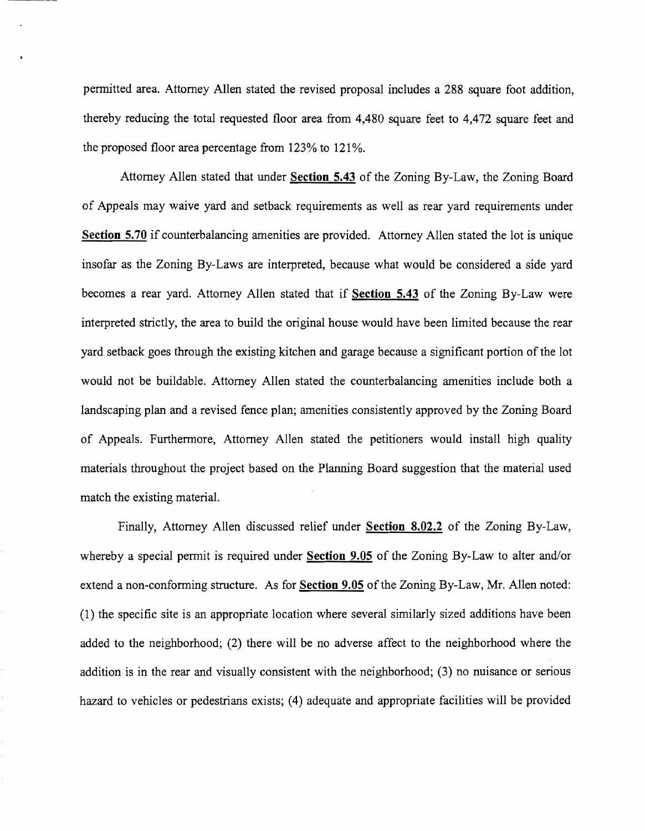permitted area. Attorney Allen stated the revised proposal includes a 288 square foot addition, thereby reducing the total requested floor area from 4,480 square feet to 4,472 square feet and the proposed floor area percentage from 123% to 121%.

Attorney Allen stated that under **Section 5.43** of the Zoning By-Law, the Zoning Board of Appeals may waive yard and setback requirements as well as rear yard requirements under **Section 5.70** if counterbalancing amenities are provided. Attorney Allen stated the lot is unique insofar as the Zoning By-Laws are interpreted, because what would be considered a side yard becomes a rear yard. Attorney Allen stated that if **Section 5.43** of the Zoning By-Law were interpreted strictly, the area to build the original house would have been limited because the rear yard setback goes through the existing kitchen and garage because a significant portion of the lot would not be buildable. Attorney Allen stated the counterbalancing amenities include both a landscaping plan and a revised fence plan; amenities consistently approved by the Zoning Board of Appeals. Furthermore, Attorney Allen stated the petitioners would install high quality materials throughout the project based on the Planning Board suggestion that the material used match the existing material.

Finally, Attorney Allen discussed relief under **Section 8.02.2** of the Zoning By-Law, whereby a special permit is required under **Section 9.05** of the Zoning By-Law to alter and/or extend a non-conforming structure. As for **Section 9.05** of the Zoning By-Law, Mr. Allen noted: (1) the specific site is an appropriate location where several similarly sized additions have been added to the neighborhood; (2) there will be no adverse affect to the neighborhood where the addition is in the rear and visually consistent with the neighborhood; (3) no nuisance or serious hazard to vehicles or pedestrians exists; (4) adequate and appropriate facilities will be provided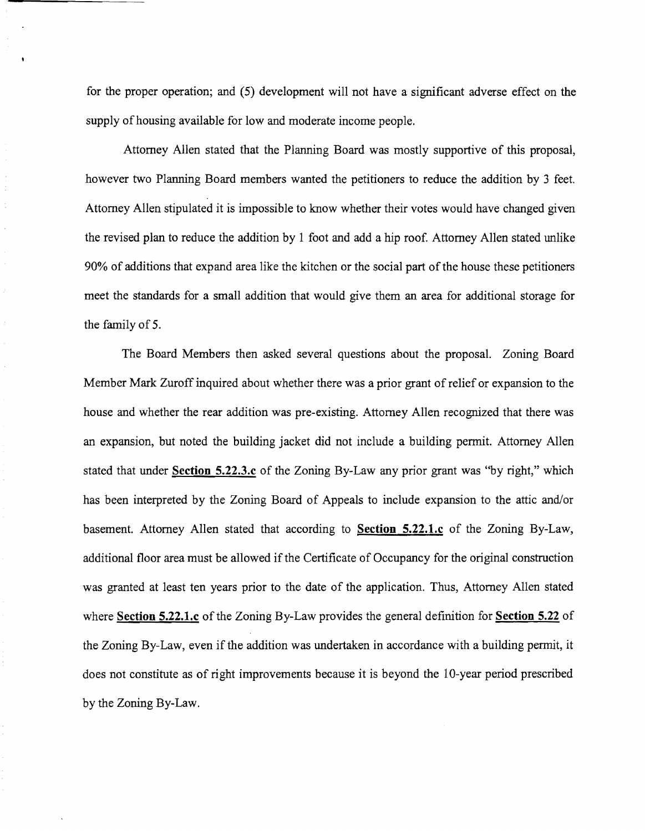for the proper operation; and (5) development will not have a significant adverse effect on the supply of housing available for low and moderate income people.

 $\bar{\beta}$ 

 $\frac{1}{2}$ 

 $\bar{\infty}$ 

Attorney Allen stated that the Planning Board was mostly supportive of this proposal, however two Planning Board members wanted the petitioners to reduce the addition by 3 feet. Attorney Allen stipulated it is impossible to know whether their votes would have changed given the revised plan to reduce the addition by I foot and add a hip roof. Attorney Allen stated unlike 90% of additions that expand area like the kitchen or the social part of the house these petitioners meet the standards for a small addition that would give them an area for additional storage for the family of 5.

The Board Members then asked several questions about the proposal. Zoning Board Member Mark Zuroff inquired about whether there was a prior grant of relief or expansion to the house and whether the rear addition was pre-existing. Attorney Allen recognized that there was an expansion, but noted the building jacket did not include a building permit. Attorney Allen stated that under **Section 5.22.3.c** of the Zoning By-Law any prior grant was ''by right," which has been interpreted by the Zoning Board of Appeals to include expansion to the attic and/or basement. Attorney Allen stated that according to **Section 5.22.I.c** of the Zoning By-Law, additional floor area must be allowed if the Certificate of Occupancy for the original construction was granted at least ten years prior to the date of the application. Thus, Attorney Allen stated where **Section 5.22.I.c** of the Zoning By-Law provides the general definition for **Section 5.22** of the Zoning By-Law, even if the addition was undertaken in accordance with a building permit, it does not constitute as of right improvements because it is beyond the 10-year period prescribed by the Zoning By-Law.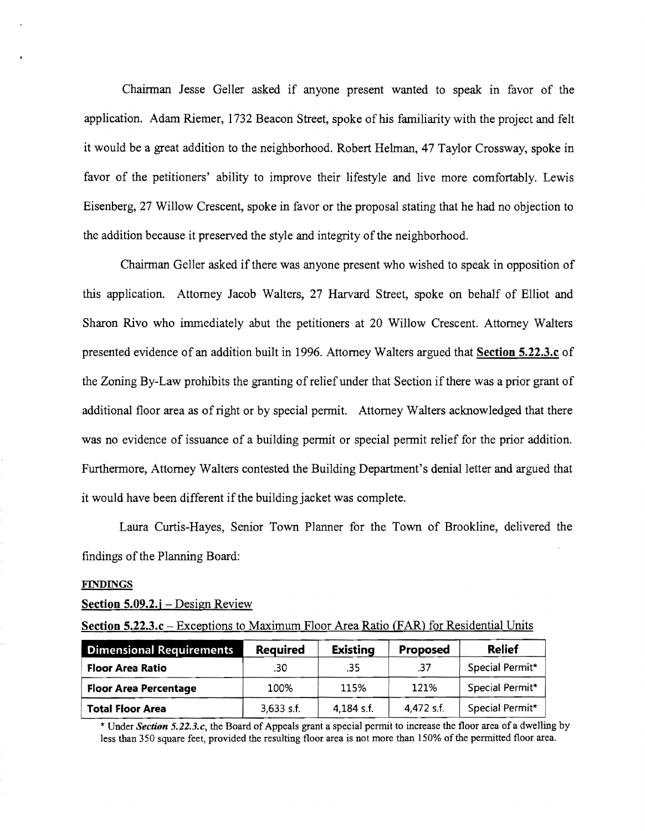Chairman Jesse Geller asked if anyone present wanted to speak in favor of the application. Adam Riemer, 1732 Beacon Street, spoke of his familiarity with the project and felt it would be a great addition to the neighborhood. Robert Helman, 47 Taylor Crossway, spoke in favor of the petitioners' ability to improve their lifestyle and live more comfortably. Lewis Eisenberg, 27 Willow Crescent, spoke in favor or the proposal stating that he had no objection to the addition because it preserved the style and integrity of the neighborhood.

Chairman Geller asked if there was anyone present who wished to speak in opposition of this application. Attorney Jacob Walters, 27 Harvard Street, spoke on behalf of Elliot and Sharon Rivo who immediately abut the petitioners at 20 Willow Crescent. Attorney Walters presented evidence of an addition built in 1996. Attorney Walters argued that **Section 5.22.3.c of**  the Zoning By-Law prohibits the granting of relief under that Section if there was a prior grant of additional floor area as of right or by special permit. Attorney Walters acknowledged that there was no evidence of issuance of a building permit or special permit relief for the prior addition. Furthermore, Attorney Walters contested the Building Department's denial letter and argued that it would have been different if the building jacket was complete.

Laura Curtis-Hayes, Senior Town Planner for the Town of Brookline, delivered the findings of the Planning Board:

#### **FINDINGS**

#### **Section 5.09.2.j** - Design Review

|  |  |  |  | <b>Section 5.22.3.c</b> – Exceptions to Maximum Floor Area Ratio (FAR) for Residential Units |
|--|--|--|--|----------------------------------------------------------------------------------------------|
|  |  |  |  |                                                                                              |

| <b>Dimensional Requirements</b> | <b>Required</b> | <b>Existing</b> | Proposed   | <b>Relief</b>   |
|---------------------------------|-----------------|-----------------|------------|-----------------|
| <b>Floor Area Ratio</b>         | .30             | .35             | .37        | Special Permit* |
| <b>Floor Area Percentage</b>    | 100%            | 115%            | 121%       | Special Permit* |
| <b>Total Floor Area</b>         | $3,633$ s.f.    | $4.184$ s.f.    | 4.472 s.f. | Special Permit* |

\* Under *Section 5.22.3.c*, the Board of Appeals grant a special permit to increase the floor area of a dwelling by less than 350 square feet, provided the resulting floor area is not more than 150% of the permitted floor area.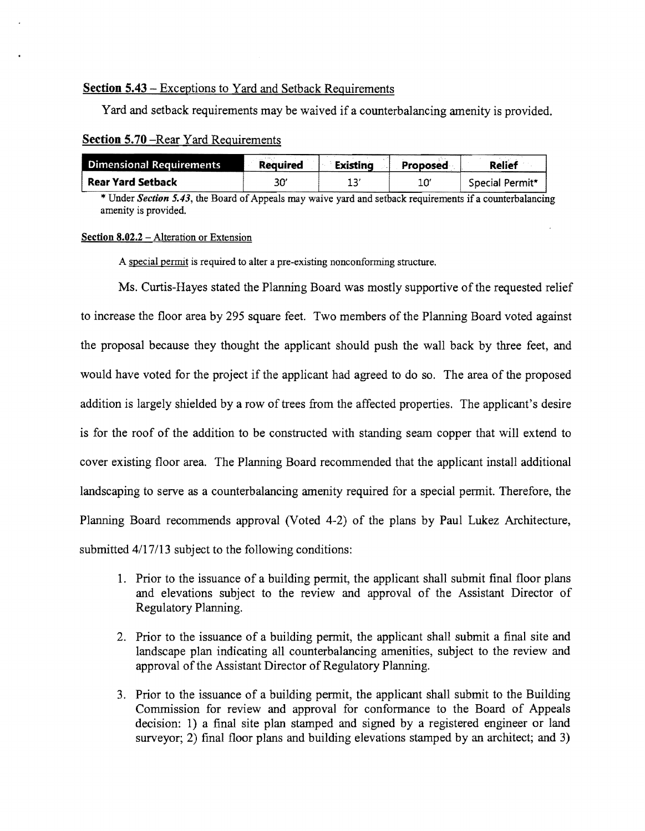## **Section 5.43** - Exceptions to Yard and Setback Requirements

Yard and setback requirements may be waived if a counterbalancing amenity is provided.

## **Section 5.70 - Rear Yard Requirements**

| Dimensional Requirements | Required | <b>Existina</b> | Proposed | <b>Relief</b>   |
|--------------------------|----------|-----------------|----------|-----------------|
| <b>Rear Yard Setback</b> | 30       |                 | 10       | Special Permit* |

\* Under *Section 5.43*, the Board of Appeals may waive yard and setback requirements if a counterbalancing amenity is provided.

## Section 8.02.2 - Alteration or Extension

A special permit is required to alter a pre-existing nonconforming structure.

Ms. Curtis-Hayes stated the Planning Board was mostly supportive of the requested relief to increase the floor area by 295 square feet. Two members of the Planning Board voted against the proposal because they thought the applicant should push the wall back by three feet, and would have voted for the project if the applicant had agreed to do so. The area of the proposed addition is largely shielded by a row of trees from the affected properties. The applicant's desire is for the roof of the addition to be constructed with standing seam copper that will extend to cover existing floor area. The Planning Board recommended that the applicant install additional landscaping to serve as a counterbalancing amenity required for a special permit. Therefore, the Planning Board recommends approval (Voted 4-2) of the plans by Paul Lukez Architecture, submitted  $4/17/13$  subject to the following conditions:

- 1. Prior to the issuance of a building permit, the applicant shall submit final floor plans and elevations subject to the review and approval of the Assistant Director of Regulatory Planning.
- 2. Prior to the issuance of a building permit, the applicant shall submit a final site and landscape plan indicating all counterbalancing amenities, subject to the review and approval of the Assistant Director of Regulatory Planning.
- 3. Prior to the issuance of a building permit, the applicant shall submit to the Building Commission for review and approval for conformance to the Board of Appeals decision: 1) a final site plan stamped and signed by a registered engineer or land surveyor; 2) final floor plans and building elevations stamped by an architect; and 3)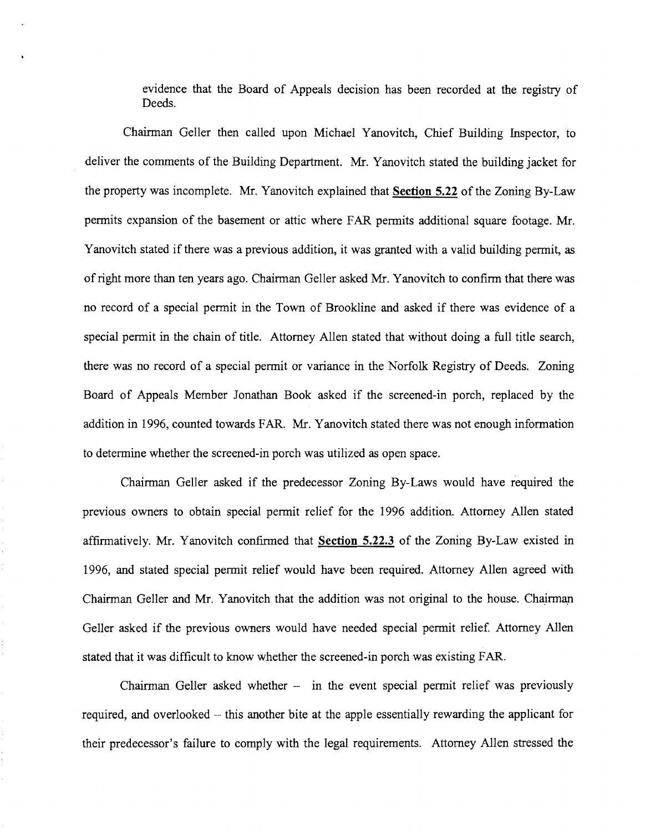evidence that the Board of Appeals decision has been recorded at the registry of Deeds.

Chairman Geller then called upon Michael Yanovitch, Chief Building Inspector, to deliver the comments of the Building Department. Mr. Yanovitch stated the building jacket for the property was incomplete. Mr. Yanovitch explained that **Section 5.22** of the Zoning By-Law permits expansion of the basement or attic where FAR permits additional square footage. Mr. Yanovitch stated if there was a previous addition, it was granted with a valid building permit, as of right more than ten years ago. Chairman Geller asked Mr. Yanovitch to confirm that there was no record of a special permit in the Town of Brookline and asked if there was evidence of a special permit in the chain of title. Attorney Allen stated that without doing a full title search, there was no record of a special permit or variance in the Norfolk Registry of Deeds. Zoning Board of Appeals Member Jonathan Book asked if the screened-in porch, replaced by the addition in 1996, counted towards FAR. Mr. Yanovitch stated there was not enough information to determine whether the screened-in porch was utilized as open space.

Chairman Geller asked if the predecessor Zoning By-Laws would have required the previous owners to obtain special permit relief for the 1996 addition. Attorney Allen stated affirmatively. Mr. Yanovitch confirmed that **Section 5.22.3** of the Zoning By-Law existed in 1996, and stated special permit relief would have been required. Attorney Allen agreed with Chairman Geller and Mr. Yanovitch that the addition was not original to the house. Chairmap Geller asked if the previous owners would have needed special permit relief. Attorney Allen stated that it was difficult to know whether the screened-in porch was existing FAR.

Chairman Geller asked whether - in the event special permit relief was previously required, and overlooked – this another bite at the apple essentially rewarding the applicant for their predecessor's failure to comply with the legal requirements. Attorney Allen stressed the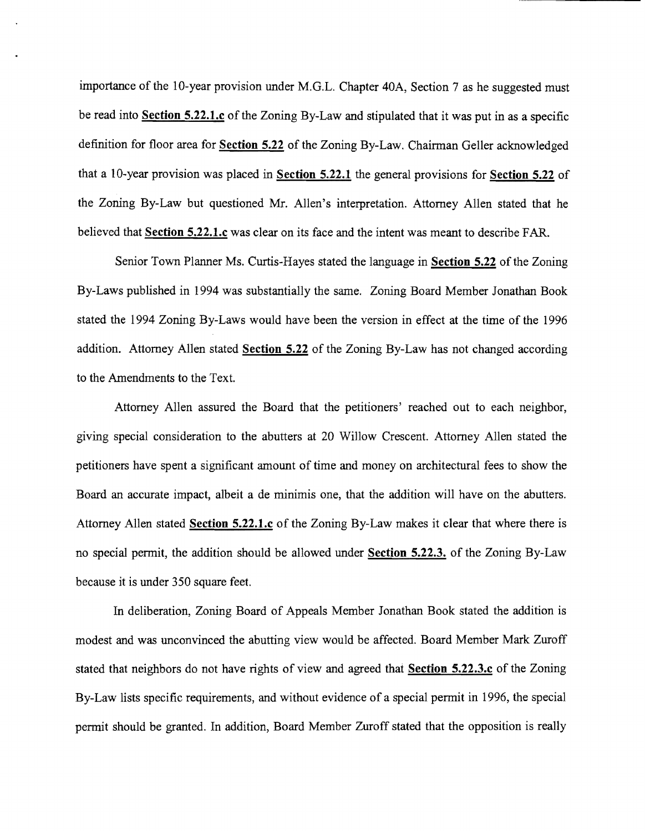importance of the 10-year provision under M.G.L. Chapter 40A, Section 7 as he suggested must be read into **Section S.22.I.c** of the Zoning By-Law and stipulated that it was put in as a specific definition for floor area for **Section 5.22** of the Zoning By-Law. Chairman Geller acknowledged that a lO-year provision was placed in **Section 5.22.1** the general provisions for **Section 5.22** of the Zoning By-Law but questioned Mr. Allen's interpretation. Attorney Allen stated that he believed that **Section S.22.1.c** was clear on its face and the intent was meant to describe FAR.

Senior Town Planner Ms. Curtis-Hayes stated the language in **Section 5.22** of the Zoning By-Laws published in 1994 was substantially the same. Zoning Board Member Jonathan Book stated the 1994 Zoning By-Laws would have been the version in effect at the time of the 1996 addition. Attorney Allen stated **Section 5.22** of the Zoning By-Law has not changed according to the Amendments to the Text.

Attorney Allen assured the Board that the petitioners' reached out to each neighbor, giving special consideration to the abutters at 20 Willow Crescent. Attorney Allen stated the petitioners have spent a significant amount of time and money on architectural fees to show the Board an accurate impact, albeit a de minimis one, that the addition will have on the abutters. Attorney Allen stated **Section S.22.1.c** of the Zoning By-Law makes it clear that where there is no special permit, the addition should be allowed under **Section 5.22.3.** of the Zoning By-Law because it is under 350 square feet.

In deliberation, Zoning Board of Appeals Member Jonathan Book stated the addition is modest and was unconvinced the abutting view would be affected. Board Member Mark Zuroff stated that neighbors do not have rights of view and agreed that **Section S.22.3.e** of the Zoning By-Law lists specific requirements, and without evidence of a special permit in 1996, the special permit should be granted. In addition, Board Member Zuroff stated that the opposition is really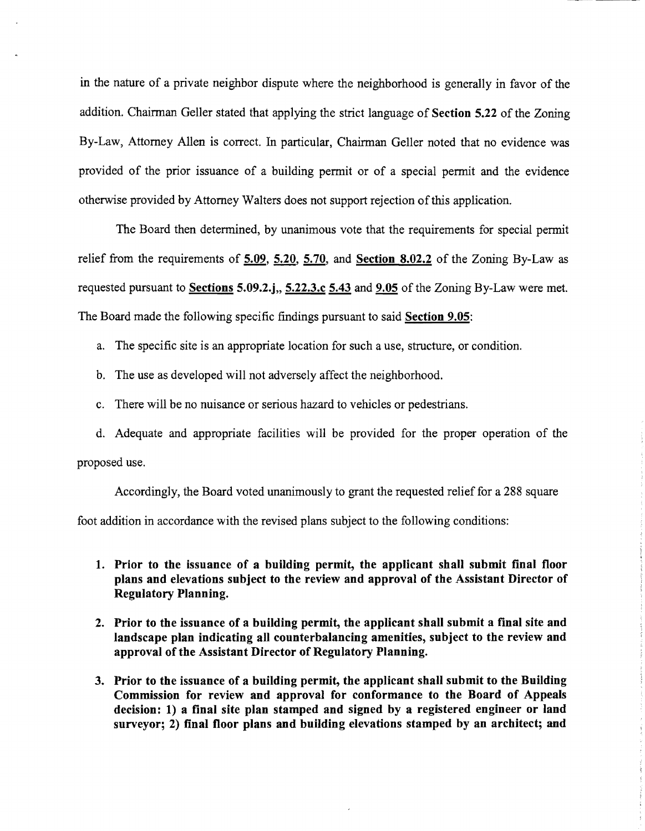in the nature of a private neighbor dispute where the neighborhood is generally in favor of the addition. Chairman Geller stated that applying the strict language of Section 5.22 of the Zoning By-Law, Attorney Allen is correct. In particular, Chairman Geller noted that no evidence was provided of the prior issuance of a building pennit or of a special pennit and the evidence otherwise provided by Attorney Walters does not support rejection ofthis application.

The Board then determined, by unanimous vote that the requirements for special permit relief from the requirements of  $5.09$ ,  $5.20$ ,  $5.70$ , and Section  $8.02.2$  of the Zoning By-Law as requested pursuant to Sections 5.09.2.j.,  $5.22.3.c$  5.43 and 9.05 of the Zoning By-Law were met. The Board made the following specific findings pursuant to said Section 9.05:

- a. The specific site is an appropriate location for such a use, structure, or condition.
- b. The use as developed will not adversely affect the neighborhood.
- c. There will be no nuisance or serious hazard to vehicles or pedestrians.

d. Adequate and appropriate facilities will be provided for the proper operation of the proposed use.

Accordingly, the Board voted unanimously to grant the requested relief for a 288 square

foot addition in accordance with the revised plans subject to the following conditions:

- 1. Prior to the issuance of a building permit, the applicant shall submit final floor plans and elevations subject to the review and approval of the Assistant Director of Regulatory Planning.
- 2. Prior to the issuance of a building permit, the applicant shall submit a final site and landscape plan indicating all counterbalancing amenities, subject to the review and approval of the Assistant Director of Regulatory Planning.
- 3. Prior to the issuance of a building permit, the applicant shall submit to the Building Commission for review and approval for conformance to the Board of Appeals decision: 1) a final site plan stamped and signed by a registered engineer or land surveyor; 2) final floor plans and building elevations stamped by an architect; and